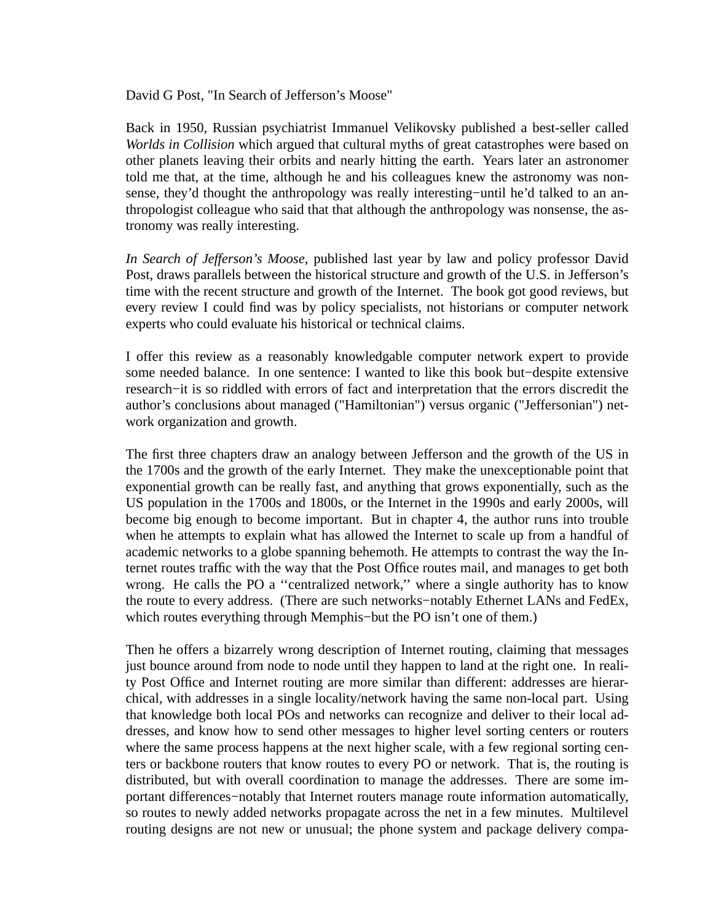David G Post, "In Search of Jefferson's Moose"

Back in 1950, Russian psychiatrist Immanuel Velikovsky published a best-seller called *Worlds in Collision* which argued that cultural myths of great catastrophes were based on other planets leaving their orbits and nearly hitting the earth. Years later an astronomer told me that, at the time, although he and his colleagues knew the astronomy was nonsense, they'd thought the anthropology was really interesting–until he'd talked to an anthropologist colleague who said that that although the anthropology was nonsense, the astronomy was really interesting.

*In Search of Jefferson's Moose*, published last year by law and policy professor David Post, draws parallels between the historical structure and growth of the U.S. in Jefferson's time with the recent structure and growth of the Internet. The book got good reviews, but every review I could find was by policy specialists, not historians or computer network experts who could evaluate his historical or technical claims.

I offer this review as a reasonably knowledgable computer network expert to provide some needed balance. In one sentence: I wanted to like this book but−despite extensive research−it is so riddled with errors of fact and interpretation that the errors discredit the author's conclusions about managed ("Hamiltonian") versus organic ("Jeffersonian") network organization and growth.

The first three chapters draw an analogy between Jefferson and the growth of the US in the 1700s and the growth of the early Internet. They make the unexceptionable point that exponential growth can be really fast, and anything that grows exponentially, such as the US population in the 1700s and 1800s, or the Internet in the 1990s and early 2000s, will become big enough to become important. But in chapter 4, the author runs into trouble when he attempts to explain what has allowed the Internet to scale up from a handful of academic networks to a globe spanning behemoth. He attempts to contrast the way the Internet routes traffic with the way that the Post Office routes mail, and manages to get both wrong. He calls the PO a ''centralized network,'' where a single authority has to know the route to every address. (There are such networks−notably Ethernet LANs and FedEx, which routes everything through Memphis−but the PO isn't one of them.)

Then he offers a bizarrely wrong description of Internet routing, claiming that messages just bounce around from node to node until they happen to land at the right one. In reality Post Office and Internet routing are more similar than different: addresses are hierarchical, with addresses in a single locality/network having the same non-local part. Using that knowledge both local POs and networks can recognize and deliver to their local addresses, and know how to send other messages to higher level sorting centers or routers where the same process happens at the next higher scale, with a few regional sorting centers or backbone routers that know routes to every PO or network. That is, the routing is distributed, but with overall coordination to manage the addresses. There are some important differences−notably that Internet routers manage route information automatically, so routes to newly added networks propagate across the net in a few minutes. Multilevel routing designs are not new or unusual; the phone system and package delivery compa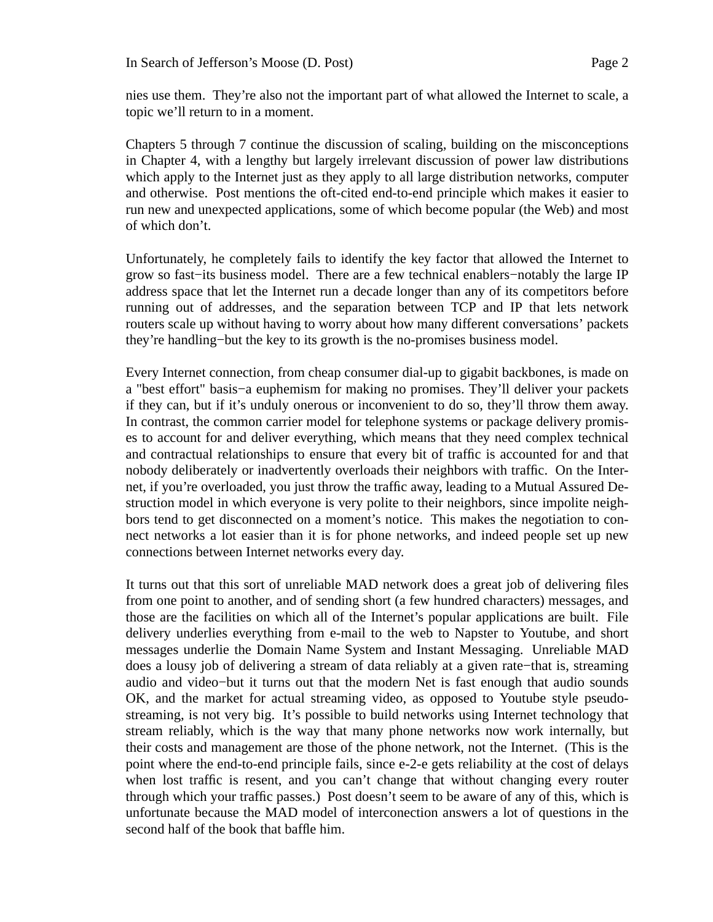nies use them. They're also not the important part of what allowed the Internet to scale, a topic we'll return to in a moment.

Chapters 5 through 7 continue the discussion of scaling, building on the misconceptions in Chapter 4, with a lengthy but largely irrelevant discussion of power law distributions which apply to the Internet just as they apply to all large distribution networks, computer and otherwise. Post mentions the oft-cited end-to-end principle which makes it easier to run new and unexpected applications, some of which become popular (the Web) and most of which don't.

Unfortunately, he completely fails to identify the key factor that allowed the Internet to grow so fast−its business model. There are a few technical enablers−notably the large IP address space that let the Internet run a decade longer than any of its competitors before running out of addresses, and the separation between TCP and IP that lets network routers scale up without having to worry about how many different conversations' packets they're handling−but the key to its growth is the no-promises business model.

Every Internet connection, from cheap consumer dial-up to gigabit backbones, is made on a "best effort" basis−a euphemism for making no promises. They'll deliver your packets if they can, but if it's unduly onerous or inconvenient to do so, they'll throw them away. In contrast, the common carrier model for telephone systems or package delivery promises to account for and deliver everything, which means that they need complex technical and contractual relationships to ensure that every bit of traffic is accounted for and that nobody deliberately or inadvertently overloads their neighbors with traffic. On the Internet, if you're overloaded, you just throw the traffic away, leading to a Mutual Assured Destruction model in which everyone is very polite to their neighbors, since impolite neighbors tend to get disconnected on a moment's notice. This makes the negotiation to connect networks a lot easier than it is for phone networks, and indeed people set up new connections between Internet networks every day.

It turns out that this sort of unreliable MAD network does a great job of delivering files from one point to another, and of sending short (a few hundred characters) messages, and those are the facilities on which all of the Internet's popular applications are built. File delivery underlies everything from e-mail to the web to Napster to Youtube, and short messages underlie the Domain Name System and Instant Messaging. Unreliable MAD does a lousy job of delivering a stream of data reliably at a given rate−that is, streaming audio and video−but it turns out that the modern Net is fast enough that audio sounds OK, and the market for actual streaming video, as opposed to Youtube style pseudostreaming, is not very big. It's possible to build networks using Internet technology that stream reliably, which is the way that many phone networks now work internally, but their costs and management are those of the phone network, not the Internet. (This is the point where the end-to-end principle fails, since e-2-e gets reliability at the cost of delays when lost traffic is resent, and you can't change that without changing every router through which your traffic passes.) Post doesn't seem to be aware of any of this, which is unfortunate because the MAD model of interconection answers a lot of questions in the second half of the book that baffle him.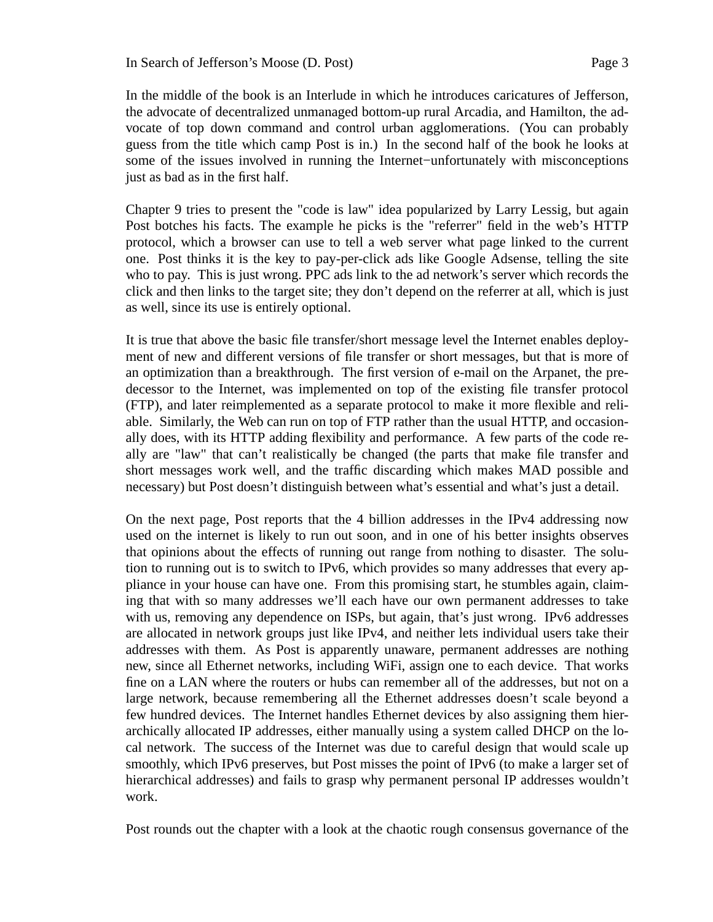In the middle of the book is an Interlude in which he introduces caricatures of Jefferson, the advocate of decentralized unmanaged bottom-up rural Arcadia, and Hamilton, the advocate of top down command and control urban agglomerations. (You can probably guess from the title which camp Post is in.) In the second half of the book he looks at some of the issues involved in running the Internet−unfortunately with misconceptions just as bad as in the first half.

Chapter 9 tries to present the "code is law" idea popularized by Larry Lessig, but again Post botches his facts. The example he picks is the "referrer" field in the web's HTTP protocol, which a browser can use to tell a web server what page linked to the current one. Post thinks it is the key to pay-per-click ads like Google Adsense, telling the site who to pay. This is just wrong. PPC ads link to the ad network's server which records the click and then links to the target site; they don't depend on the referrer at all, which is just as well, since its use is entirely optional.

It is true that above the basic file transfer/short message level the Internet enables deployment of new and different versions of file transfer or short messages, but that is more of an optimization than a breakthrough. The first version of e-mail on the Arpanet, the predecessor to the Internet, was implemented on top of the existing file transfer protocol (FTP), and later reimplemented as a separate protocol to make it more flexible and reliable. Similarly, the Web can run on top of FTP rather than the usual HTTP, and occasionally does, with its HTTP adding flexibility and performance. A few parts of the code really are "law" that can't realistically be changed (the parts that make file transfer and short messages work well, and the traffic discarding which makes MAD possible and necessary) but Post doesn't distinguish between what's essential and what's just a detail.

On the next page, Post reports that the 4 billion addresses in the IPv4 addressing now used on the internet is likely to run out soon, and in one of his better insights observes that opinions about the effects of running out range from nothing to disaster. The solution to running out is to switch to IPv6, which provides so many addresses that every appliance in your house can have one. From this promising start, he stumbles again, claiming that with so many addresses we'll each have our own permanent addresses to take with us, removing any dependence on ISPs, but again, that's just wrong. IPv6 addresses are allocated in network groups just like IPv4, and neither lets individual users take their addresses with them. As Post is apparently unaware, permanent addresses are nothing new, since all Ethernet networks, including WiFi, assign one to each device. That works fine on a LAN where the routers or hubs can remember all of the addresses, but not on a large network, because remembering all the Ethernet addresses doesn't scale beyond a few hundred devices. The Internet handles Ethernet devices by also assigning them hierarchically allocated IP addresses, either manually using a system called DHCP on the local network. The success of the Internet was due to careful design that would scale up smoothly, which IPv6 preserves, but Post misses the point of IPv6 (to make a larger set of hierarchical addresses) and fails to grasp why permanent personal IP addresses wouldn't work.

Post rounds out the chapter with a look at the chaotic rough consensus governance of the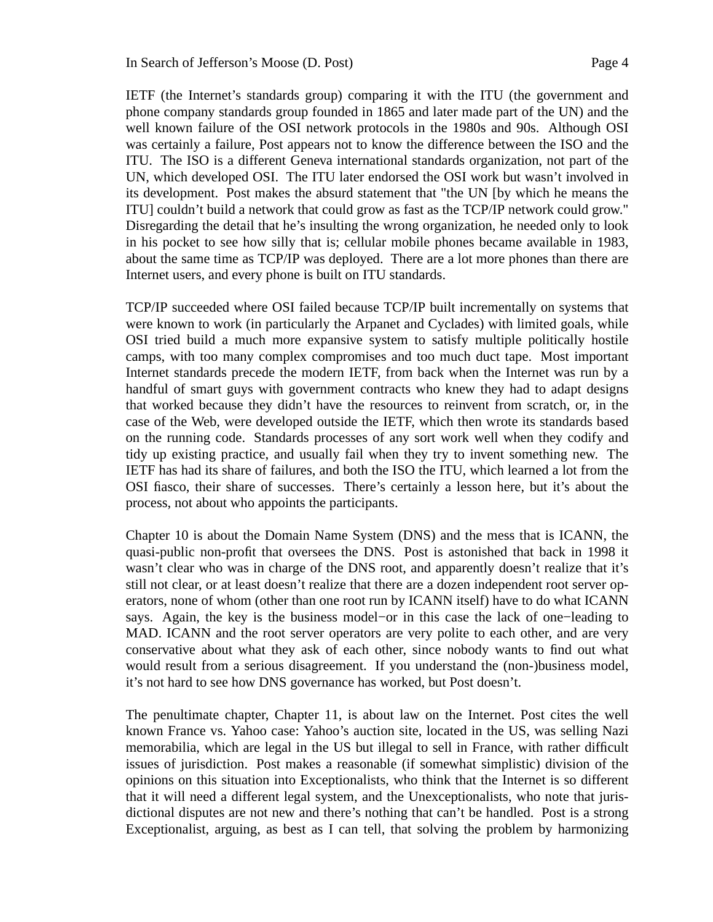IETF (the Internet's standards group) comparing it with the ITU (the government and phone company standards group founded in 1865 and later made part of the UN) and the well known failure of the OSI network protocols in the 1980s and 90s. Although OSI was certainly a failure, Post appears not to know the difference between the ISO and the ITU. The ISO is a different Geneva international standards organization, not part of the UN, which developed OSI. The ITU later endorsed the OSI work but wasn't involved in its development. Post makes the absurd statement that "the UN [by which he means the ITU] couldn't build a network that could grow as fast as the TCP/IP network could grow." Disregarding the detail that he's insulting the wrong organization, he needed only to look in his pocket to see how silly that is; cellular mobile phones became available in 1983, about the same time as TCP/IP was deployed. There are a lot more phones than there are Internet users, and every phone is built on ITU standards.

TCP/IP succeeded where OSI failed because TCP/IP built incrementally on systems that were known to work (in particularly the Arpanet and Cyclades) with limited goals, while OSI tried build a much more expansive system to satisfy multiple politically hostile camps, with too many complex compromises and too much duct tape. Most important Internet standards precede the modern IETF, from back when the Internet was run by a handful of smart guys with government contracts who knew they had to adapt designs that worked because they didn't have the resources to reinvent from scratch, or, in the case of the Web, were developed outside the IETF, which then wrote its standards based on the running code. Standards processes of any sort work well when they codify and tidy up existing practice, and usually fail when they try to invent something new. The IETF has had its share of failures, and both the ISO the ITU, which learned a lot from the OSI fiasco, their share of successes. There's certainly a lesson here, but it's about the process, not about who appoints the participants.

Chapter 10 is about the Domain Name System (DNS) and the mess that is ICANN, the quasi-public non-profit that oversees the DNS. Post is astonished that back in 1998 it wasn't clear who was in charge of the DNS root, and apparently doesn't realize that it's still not clear, or at least doesn't realize that there are a dozen independent root server operators, none of whom (other than one root run by ICANN itself) have to do what ICANN says. Again, the key is the business model−or in this case the lack of one−leading to MAD. ICANN and the root server operators are very polite to each other, and are very conservative about what they ask of each other, since nobody wants to find out what would result from a serious disagreement. If you understand the (non-)business model, it's not hard to see how DNS governance has worked, but Post doesn't.

The penultimate chapter, Chapter 11, is about law on the Internet. Post cites the well known France vs. Yahoo case: Yahoo's auction site, located in the US, was selling Nazi memorabilia, which are legal in the US but illegal to sell in France, with rather difficult issues of jurisdiction. Post makes a reasonable (if somewhat simplistic) division of the opinions on this situation into Exceptionalists, who think that the Internet is so different that it will need a different legal system, and the Unexceptionalists, who note that jurisdictional disputes are not new and there's nothing that can't be handled. Post is a strong Exceptionalist, arguing, as best as I can tell, that solving the problem by harmonizing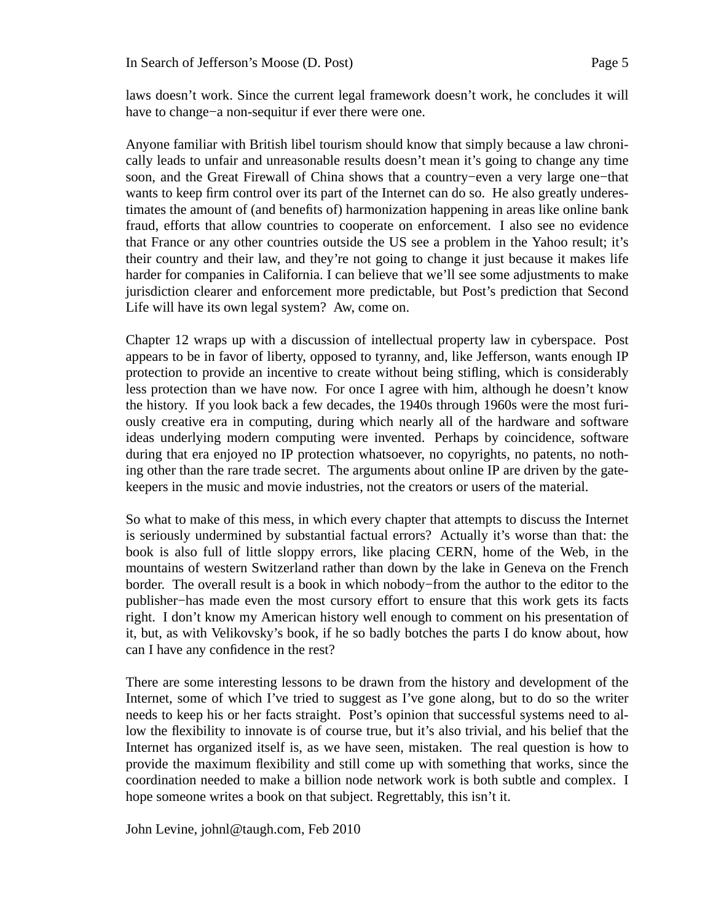laws doesn't work. Since the current legal framework doesn't work, he concludes it will have to change−a non-sequitur if ever there were one.

Anyone familiar with British libel tourism should know that simply because a law chronically leads to unfair and unreasonable results doesn't mean it's going to change any time soon, and the Great Firewall of China shows that a country–even a very large one–that wants to keep firm control over its part of the Internet can do so. He also greatly underestimates the amount of (and benefits of) harmonization happening in areas like online bank fraud, efforts that allow countries to cooperate on enforcement. I also see no evidence that France or any other countries outside the US see a problem in the Yahoo result; it's their country and their law, and they're not going to change it just because it makes life harder for companies in California. I can believe that we'll see some adjustments to make jurisdiction clearer and enforcement more predictable, but Post's prediction that Second Life will have its own legal system? Aw, come on.

Chapter 12 wraps up with a discussion of intellectual property law in cyberspace. Post appears to be in favor of liberty, opposed to tyranny, and, like Jefferson, wants enough IP protection to provide an incentive to create without being stifling, which is considerably less protection than we have now. For once I agree with him, although he doesn't know the history. If you look back a few decades, the 1940s through 1960s were the most furiously creative era in computing, during which nearly all of the hardware and software ideas underlying modern computing were invented. Perhaps by coincidence, software during that era enjoyed no IP protection whatsoever, no copyrights, no patents, no nothing other than the rare trade secret. The arguments about online IP are driven by the gatekeepers in the music and movie industries, not the creators or users of the material.

So what to make of this mess, in which every chapter that attempts to discuss the Internet is seriously undermined by substantial factual errors? Actually it's worse than that: the book is also full of little sloppy errors, like placing CERN, home of the Web, in the mountains of western Switzerland rather than down by the lake in Geneva on the French border. The overall result is a book in which nobody−from the author to the editor to the publisher−has made even the most cursory effort to ensure that this work gets its facts right. I don't know my American history well enough to comment on his presentation of it, but, as with Velikovsky's book, if he so badly botches the parts I do know about, how can I have any confidence in the rest?

There are some interesting lessons to be drawn from the history and development of the Internet, some of which I've tried to suggest as I've gone along, but to do so the writer needs to keep his or her facts straight. Post's opinion that successful systems need to allow the flexibility to innovate is of course true, but it's also trivial, and his belief that the Internet has organized itself is, as we have seen, mistaken. The real question is how to provide the maximum flexibility and still come up with something that works, since the coordination needed to make a billion node network work is both subtle and complex. I hope someone writes a book on that subject. Regrettably, this isn't it.

John Levine, johnl@taugh.com, Feb 2010